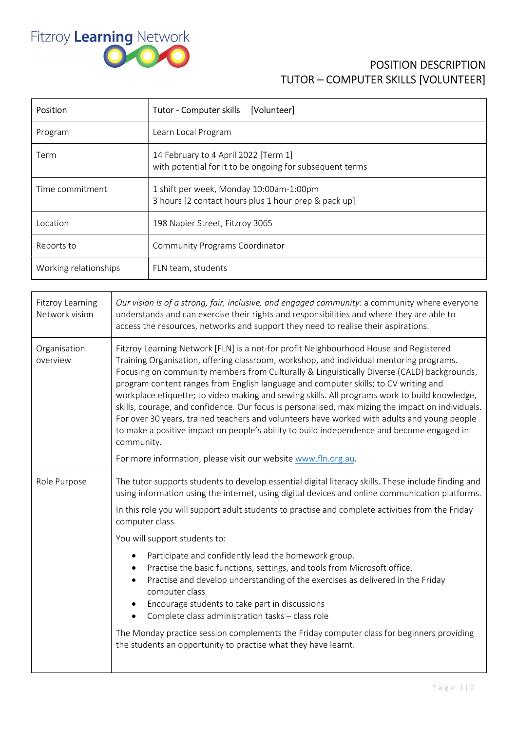

## POSITION DESCRIPTION TUTOR – COMPUTER SKILLS [VOLUNTEER]

| Position              | Tutor - Computer skills<br>[Volunteer]                                                           |
|-----------------------|--------------------------------------------------------------------------------------------------|
| Program               | Learn Local Program                                                                              |
| Term                  | 14 February to 4 April 2022 [Term 1]<br>with potential for it to be ongoing for subsequent terms |
| Time commitment       | 1 shift per week, Monday 10:00am-1:00pm<br>3 hours [2 contact hours plus 1 hour prep & pack up]  |
| Location              | 198 Napier Street, Fitzroy 3065                                                                  |
| Reports to            | <b>Community Programs Coordinator</b>                                                            |
| Working relationships | FLN team, students                                                                               |

| Fitzroy Learning<br>Network vision | Our vision is of a strong, fair, inclusive, and engaged community: a community where everyone<br>understands and can exercise their rights and responsibilities and where they are able to<br>access the resources, networks and support they need to realise their aspirations.                                                                                                                                                                                                                                                                                                                                                                                                                                                                                                                                                                        |
|------------------------------------|---------------------------------------------------------------------------------------------------------------------------------------------------------------------------------------------------------------------------------------------------------------------------------------------------------------------------------------------------------------------------------------------------------------------------------------------------------------------------------------------------------------------------------------------------------------------------------------------------------------------------------------------------------------------------------------------------------------------------------------------------------------------------------------------------------------------------------------------------------|
| Organisation<br>overview           | Fitzroy Learning Network [FLN] is a not-for profit Neighbourhood House and Registered<br>Training Organisation, offering classroom, workshop, and individual mentoring programs.<br>Focusing on community members from Culturally & Linguistically Diverse (CALD) backgrounds,<br>program content ranges from English language and computer skills; to CV writing and<br>workplace etiquette; to video making and sewing skills. All programs work to build knowledge,<br>skills, courage, and confidence. Our focus is personalised, maximizing the impact on individuals.<br>For over 30 years, trained teachers and volunteers have worked with adults and young people<br>to make a positive impact on people's ability to build independence and become engaged in<br>community.<br>For more information, please visit our website www.fln.org.au. |
| Role Purpose                       | The tutor supports students to develop essential digital literacy skills. These include finding and<br>using information using the internet, using digital devices and online communication platforms.                                                                                                                                                                                                                                                                                                                                                                                                                                                                                                                                                                                                                                                  |
|                                    | In this role you will support adult students to practise and complete activities from the Friday<br>computer class.                                                                                                                                                                                                                                                                                                                                                                                                                                                                                                                                                                                                                                                                                                                                     |
|                                    | You will support students to:                                                                                                                                                                                                                                                                                                                                                                                                                                                                                                                                                                                                                                                                                                                                                                                                                           |
|                                    | Participate and confidently lead the homework group.<br>$\bullet$<br>Practise the basic functions, settings, and tools from Microsoft office.<br>Practise and develop understanding of the exercises as delivered in the Friday<br>$\bullet$<br>computer class<br>Encourage students to take part in discussions<br>Complete class administration tasks - class role<br>$\bullet$                                                                                                                                                                                                                                                                                                                                                                                                                                                                       |
|                                    | The Monday practice session complements the Friday computer class for beginners providing<br>the students an opportunity to practise what they have learnt.                                                                                                                                                                                                                                                                                                                                                                                                                                                                                                                                                                                                                                                                                             |